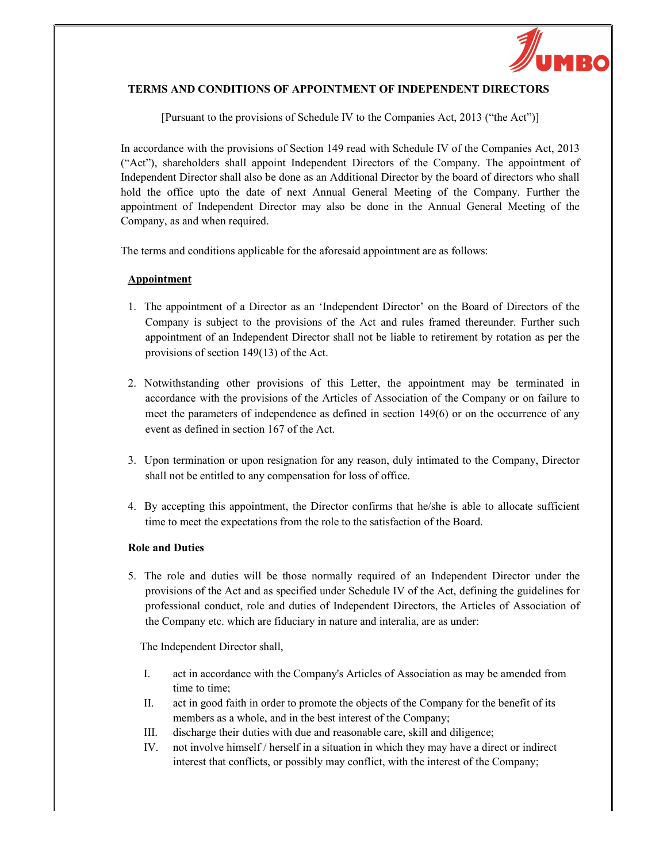

# TERMS AND CONDITIONS OF APPOINTMENT OF INDEPENDENT DIRECTORS

[Pursuant to the provisions of Schedule IV to the Companies Act, 2013 ("the Act")]

In accordance with the provisions of Section 149 read with Schedule IV of the Companies Act, 2013 ("Act"), shareholders shall appoint Independent Directors of the Company. The appointment of Independent Director shall also be done as an Additional Director by the board of directors who shall hold the office upto the date of next Annual General Meeting of the Company. Further the appointment of Independent Director may also be done in the Annual General Meeting of the Company, as and when required.

The terms and conditions applicable for the aforesaid appointment are as follows:

## **Appointment**

- 1. The appointment of a Director as an 'Independent Director' on the Board of Directors of the Company is subject to the provisions of the Act and rules framed thereunder. Further such appointment of an Independent Director shall not be liable to retirement by rotation as per the provisions of section 149(13) of the Act.
- 2. Notwithstanding other provisions of this Letter, the appointment may be terminated in accordance with the provisions of the Articles of Association of the Company or on failure to meet the parameters of independence as defined in section 149(6) or on the occurrence of any event as defined in section 167 of the Act.
- 3. Upon termination or upon resignation for any reason, duly intimated to the Company, Director shall not be entitled to any compensation for loss of office.
- 4. By accepting this appointment, the Director confirms that he/she is able to allocate sufficient time to meet the expectations from the role to the satisfaction of the Board.

## Role and Duties

5. The role and duties will be those normally required of an Independent Director under the provisions of the Act and as specified under Schedule IV of the Act, defining the guidelines for professional conduct, role and duties of Independent Directors, the Articles of Association of the Company etc. which are fiduciary in nature and interalia, are as under:

The Independent Director shall,

- I. act in accordance with the Company's Articles of Association as may be amended from time to time;
- II. act in good faith in order to promote the objects of the Company for the benefit of its members as a whole, and in the best interest of the Company;
- III. discharge their duties with due and reasonable care, skill and diligence;
- IV. not involve himself / herself in a situation in which they may have a direct or indirect interest that conflicts, or possibly may conflict, with the interest of the Company;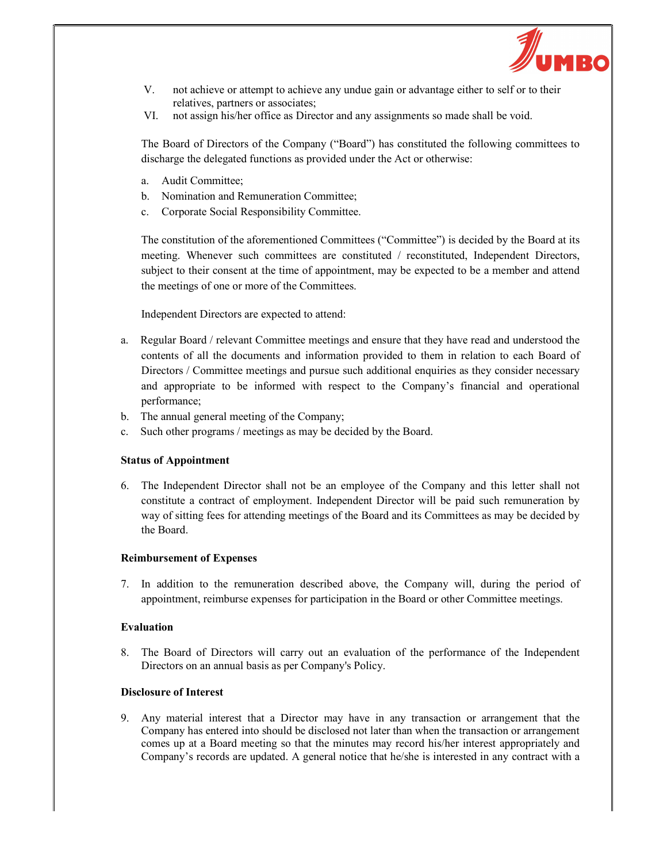

- V. not achieve or attempt to achieve any undue gain or advantage either to self or to their relatives, partners or associates;
- VI. not assign his/her office as Director and any assignments so made shall be void.

The Board of Directors of the Company ("Board") has constituted the following committees to discharge the delegated functions as provided under the Act or otherwise:

- a. Audit Committee;
- b. Nomination and Remuneration Committee;
- c. Corporate Social Responsibility Committee.

The constitution of the aforementioned Committees ("Committee") is decided by the Board at its meeting. Whenever such committees are constituted / reconstituted, Independent Directors, subject to their consent at the time of appointment, may be expected to be a member and attend the meetings of one or more of the Committees.

Independent Directors are expected to attend:

- a. Regular Board / relevant Committee meetings and ensure that they have read and understood the contents of all the documents and information provided to them in relation to each Board of Directors / Committee meetings and pursue such additional enquiries as they consider necessary and appropriate to be informed with respect to the Company's financial and operational performance;
- b. The annual general meeting of the Company;
- c. Such other programs / meetings as may be decided by the Board.

## Status of Appointment

6. The Independent Director shall not be an employee of the Company and this letter shall not constitute a contract of employment. Independent Director will be paid such remuneration by way of sitting fees for attending meetings of the Board and its Committees as may be decided by the Board.

#### Reimbursement of Expenses

7. In addition to the remuneration described above, the Company will, during the period of appointment, reimburse expenses for participation in the Board or other Committee meetings.

### Evaluation

8. The Board of Directors will carry out an evaluation of the performance of the Independent Directors on an annual basis as per Company's Policy.

### Disclosure of Interest

9. Any material interest that a Director may have in any transaction or arrangement that the Company has entered into should be disclosed not later than when the transaction or arrangement comes up at a Board meeting so that the minutes may record his/her interest appropriately and Company's records are updated. A general notice that he/she is interested in any contract with a